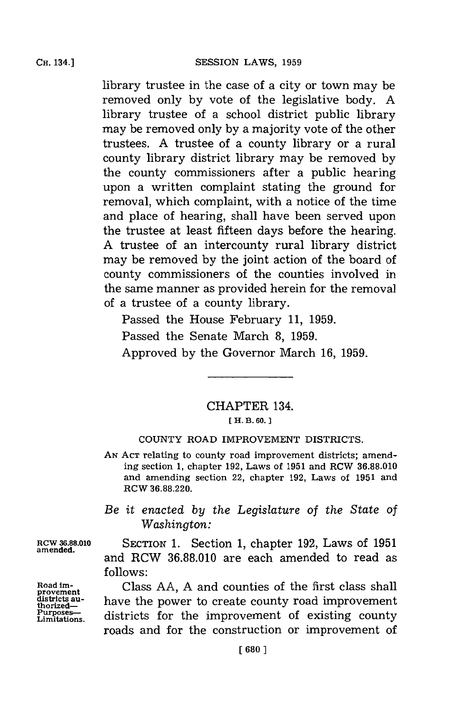library trustee in the case of a city or town may be removed only **by** vote of the legislative body. **A** library trustee of a school district public library may be removed only **by** a majority vote of the other trustees. **A** trustee of a county library or a rural county library district library may be removed **by** the county commissioners after a public hearing upon a written complaint stating the ground for removal, which complaint, with a notice of the time and place of hearing, shall have been served upon the trustee at least fifteen days before the hearing. **A** trustee of an intercounty rural library district may be removed **by** the joint action of the board of county commissioners of the counties involved in the same manner as provided herein for the removal of a trustee of a county library.

Passed the House February **11, 1959.**

Passed the Senate March **8, 1959.**

Approved **by** the Governor March **16, 1959.**

## CHAPTER 134. **[ H. B. 60. 1**

## **COUNTY** ROAD IMPROVEMENT DISTRICTS.

**AN ACT** relating to county road improvement districts; amending section **1,** chapter **192,** Laws of **1951** and RCW **36.88.010** and amending section 22, chapter **192,** Laws of **1951** and RCW **36.88.220.**

*Be it enacted by the Legislature* of *the State of Washington:*

**RCW 3.8.010** SECTION **1.** Section **1,** chapter **192,** Laws of **1951** and RCW **36.88.010** are each amended to read as **follows:**

Road im-<br>provement Class AA, A and counties of the first class shall districts au- **have the power to create county road improvement** Purposes—<br>Limitations. districts for the improvement of existing county roads and for the construction or improvement of